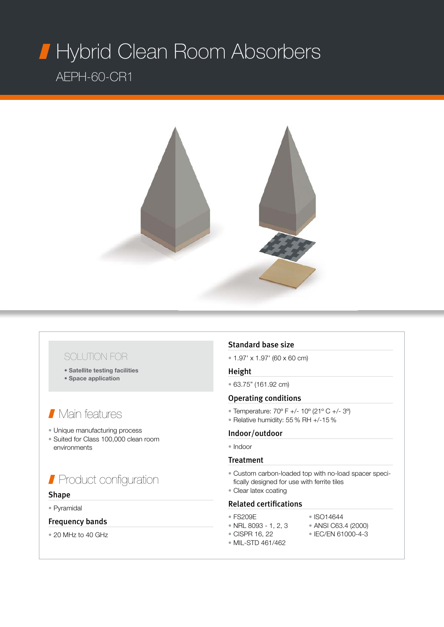## typrid Clean Room Hybrid Clean Room Absorbers AEPH-60-CR1



## SOLUTION FOR

- Satellite testing facilities
- Space application

## Main features

- Unique manufacturing process
- Suited for Class 100,000 clean room environments

# Product configuration

#### Shape

#### • Pyramidal

### Frequency bands

• 20 MHz to 40 GHz

### Standard base size

 $\cdot$  1.97' x 1.97' (60 x 60 cm)

#### Height

• 63.75" (161.92 cm)

#### Operating conditions

- Temperature: 70º F +/- 10º (21º C +/- 3º)
- Relative humidity: 55 % RH +/-15 %

#### Indoor/outdoor

• Indoor

#### Treatment

- Custom carbon-loaded top with no-load spacer specifically designed for use with ferrite tiles
- Clear latex coating

#### Related certifications

- FS209E ISO14644
- 
- NRL 8093 1, 2, 3 ANSI C63.4 (2000)<br>• CISPR 16, 22 IEC/EN 61000-4-3
	- $\bullet$  IEC/EN 61000-4-3
- MIL-STD 461/462